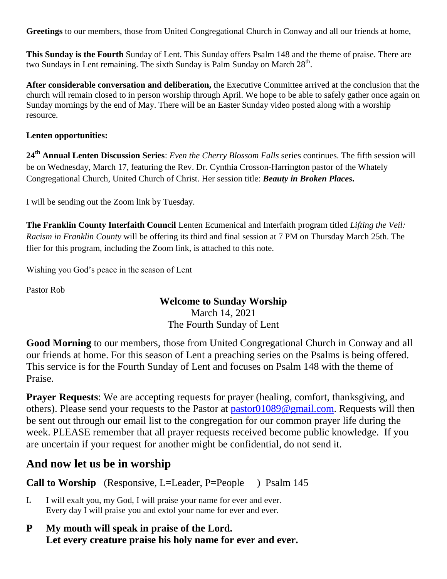**Greetings** to our members, those from United Congregational Church in Conway and all our friends at home,

**This Sunday is the Fourth** Sunday of Lent. This Sunday offers Psalm 148 and the theme of praise. There are two Sundays in Lent remaining. The sixth Sunday is Palm Sunday on March 28<sup>th</sup>.

**After considerable conversation and deliberation,** the Executive Committee arrived at the conclusion that the church will remain closed to in person worship through April. We hope to be able to safely gather once again on Sunday mornings by the end of May. There will be an Easter Sunday video posted along with a worship resource.

### **Lenten opportunities:**

**24th Annual Lenten Discussion Series**: *Even the Cherry Blossom Falls* series continues. The fifth session will be on Wednesday, March 17, featuring the Rev. Dr. Cynthia Crosson-Harrington pastor of the Whately Congregational Church, United Church of Christ. Her session title: *Beauty in Broken Places***.**

I will be sending out the Zoom link by Tuesday.

**The Franklin County Interfaith Council** Lenten Ecumenical and Interfaith program titled *Lifting the Veil: Racism in Franklin County* will be offering its third and final session at 7 PM on Thursday March 25th. The flier for this program, including the Zoom link, is attached to this note.

Wishing you God's peace in the season of Lent

Pastor Rob

## **Welcome to Sunday Worship**

March 14, 2021 The Fourth Sunday of Lent

**Good Morning** to our members, those from United Congregational Church in Conway and all our friends at home. For this season of Lent a preaching series on the Psalms is being offered. This service is for the Fourth Sunday of Lent and focuses on Psalm 148 with the theme of Praise.

**Prayer Requests**: We are accepting requests for prayer (healing, comfort, thanksgiving, and others). Please send your requests to the Pastor at [pastor01089@gmail.com.](mailto:pastor01089@gmail.com) Requests will then be sent out through our email list to the congregation for our common prayer life during the week. PLEASE remember that all prayer requests received become public knowledge. If you are uncertain if your request for another might be confidential, do not send it.

# **And now let us be in worship**

**Call to Worship** (Responsive, L=Leader, P=People ) Psalm 145

- L I will exalt you, my God, I will praise your name for ever and ever. Every day I will praise you and extol your name for ever and ever.
- **P My mouth will speak in praise of the Lord. Let every creature praise his holy name for ever and ever.**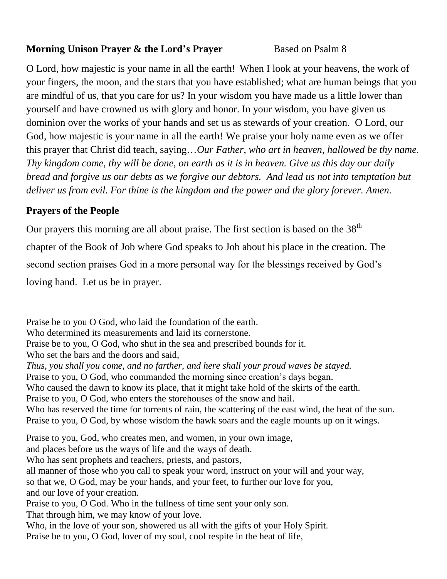## **Morning Unison Prayer & the Lord's Prayer Based on Psalm 8**

O Lord, how majestic is your name in all the earth! When I look at your heavens, the work of your fingers, the moon, and the stars that you have established; what are human beings that you are mindful of us, that you care for us? In your wisdom you have made us a little lower than yourself and have crowned us with glory and honor. In your wisdom, you have given us dominion over the works of your hands and set us as stewards of your creation. O Lord, our God, how majestic is your name in all the earth! We praise your holy name even as we offer this prayer that Christ did teach, saying…*Our Father, who art in heaven, hallowed be thy name. Thy kingdom come, thy will be done, on earth as it is in heaven. Give us this day our daily bread and forgive us our debts as we forgive our debtors. And lead us not into temptation but deliver us from evil. For thine is the kingdom and the power and the glory forever. Amen.*

# **Prayers of the People**

Our prayers this morning are all about praise. The first section is based on the  $38<sup>th</sup>$ chapter of the Book of Job where God speaks to Job about his place in the creation. The second section praises God in a more personal way for the blessings received by God's loving hand. Let us be in prayer.

Praise be to you O God, who laid the foundation of the earth. Who determined its measurements and laid its cornerstone. Praise be to you, O God, who shut in the sea and prescribed bounds for it. Who set the bars and the doors and said, *Thus, you shall you come, and no farther, and here shall your proud waves be stayed.* Praise to you, O God, who commanded the morning since creation's days began. Who caused the dawn to know its place, that it might take hold of the skirts of the earth. Praise to you, O God, who enters the storehouses of the snow and hail. Who has reserved the time for torrents of rain, the scattering of the east wind, the heat of the sun. Praise to you, O God, by whose wisdom the hawk soars and the eagle mounts up on it wings. Praise to you, God, who creates men, and women, in your own image, and places before us the ways of life and the ways of death. Who has sent prophets and teachers, priests, and pastors, all manner of those who you call to speak your word, instruct on your will and your way, so that we, O God, may be your hands, and your feet, to further our love for you, and our love of your creation. Praise to you, O God. Who in the fullness of time sent your only son. That through him, we may know of your love. Who, in the love of your son, showered us all with the gifts of your Holy Spirit. Praise be to you, O God, lover of my soul, cool respite in the heat of life,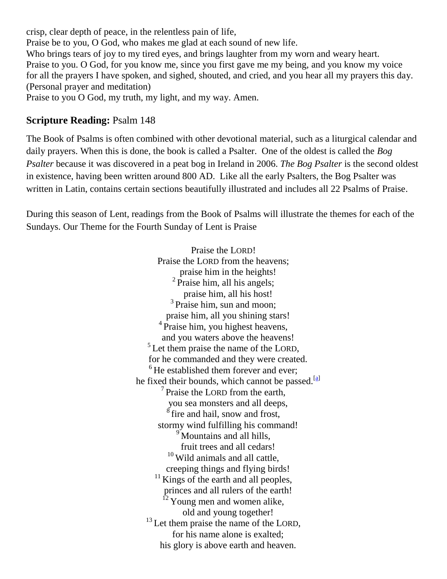crisp, clear depth of peace, in the relentless pain of life, Praise be to you, O God, who makes me glad at each sound of new life. Who brings tears of joy to my tired eyes, and brings laughter from my worn and weary heart. Praise to you. O God, for you know me, since you first gave me my being, and you know my voice for all the prayers I have spoken, and sighed, shouted, and cried, and you hear all my prayers this day. (Personal prayer and meditation) Praise to you O God, my truth, my light, and my way. Amen.

## **Scripture Reading:** Psalm 148

The Book of Psalms is often combined with other devotional material, such as a liturgical calendar and daily prayers. When this is done, the book is called a Psalter. One of the oldest is called the *Bog Psalter* because it was discovered in a peat bog in Ireland in 2006. *The Bog Psalter* is the second oldest in existence, having been written around 800 AD. Like all the early Psalters, the Bog Psalter was written in Latin, contains certain sections beautifully illustrated and includes all 22 Psalms of Praise.

During this season of Lent, readings from the Book of Psalms will illustrate the themes for each of the Sundays. Our Theme for the Fourth Sunday of Lent is Praise

> Praise the LORD! Praise the LORD from the heavens; praise him in the heights!  $2$  Praise him, all his angels; praise him, all his host! <sup>3</sup> Praise him, sun and moon; praise him, all you shining stars! <sup>4</sup> Praise him, you highest heavens, and you waters above the heavens! <sup>5</sup>Let them praise the name of the LORD, for he commanded and they were created. <sup>6</sup>He established them forever and ever; he fixed their bounds, which cannot be passed. $\frac{a}{a}$ <sup>7</sup> Praise the LORD from the earth, you sea monsters and all deeps,  $\frac{8}{3}$  fire and hail, snow and frost, stormy wind fulfilling his command! <sup>9</sup> Mountains and all hills, fruit trees and all cedars! <sup>10</sup> Wild animals and all cattle, creeping things and flying birds!  $^{11}$  Kings of the earth and all peoples, princes and all rulers of the earth!  $^{12}$  Young men and women alike, old and young together! <sup>13</sup> Let them praise the name of the LORD, for his name alone is exalted; his glory is above earth and heaven.